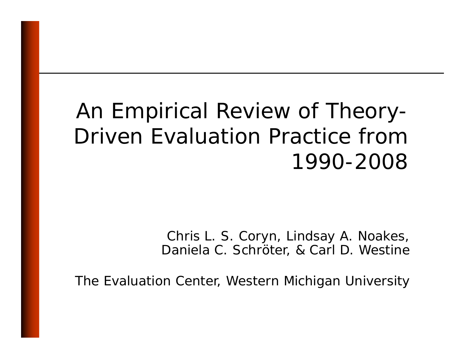#### An Empirical Review of Theory -Driven Evaluation Practice from 1990-2008

Chris L. S. Coryn, Lindsay A. Noakes, Daniela C. Schröter, & Carl D. Westine

The Evaluation Center, Western Michigan University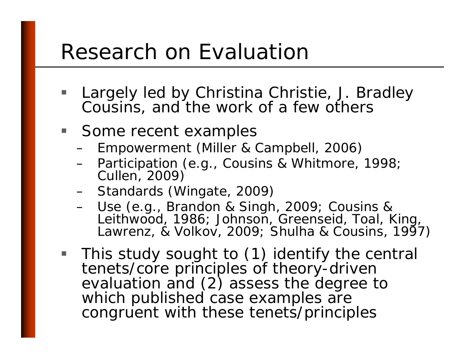#### Research on Evaluation

- **STATE**  Largely led by Christina Christie, J. Bradley Cousins, and the work of a few others
- Some recent examples
	- –Empowerment (Miller & Campbell, 2006)
	- –Participation (e.g., Cousins & Whitmore, 1998;<br>Cullen, 2009)
	- –Standards (Wingate, 2009)
	- –- Use (e.g., Brandon & Singh, 2009; Cousins & Leithwood, 1986; Johnson, Greenseid, Toal, King,<br>Lawrenz, & Volkov, 2009; Shulha & Cousins, 1997)
- This study sought to (1) identify the central tenets/core principles of theory-driven evaluation and (2) assess the degree to which published case examples congruent with these tenets/principles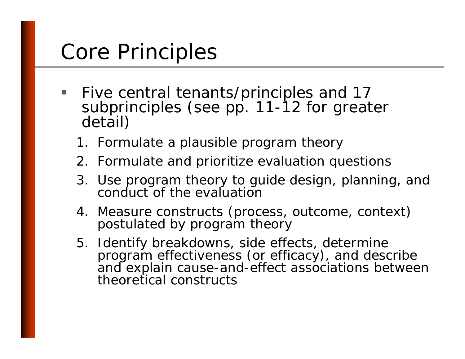## Core Principles

- **STATE** ■ Five central tenants/principles and 17 subprinciples (see pp. 11 -12 for greater detail)
	- 1. Formulate a plausible program theory
	- 2. Formulate and prioritize evaluation questions
	- 3. Use program theory to guide design, planning, and conduct of the evaluation
	- 4. Measure constructs (process, outcome, context) postulated by program theory
	- 5. Identify breakdowns, side effects, determine program effectiveness (or efficacy), and describe and explain cause-and-effect associations between theoretical constructs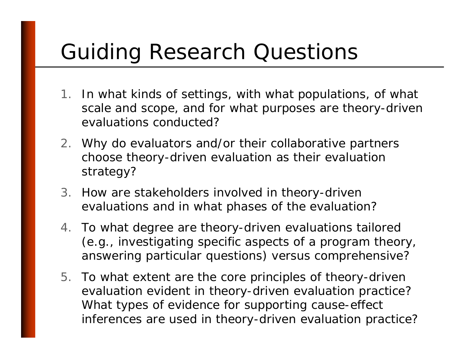# Guiding Research Questions

- 1. In what kinds of settings, with what populations, of what scale and scope, and for what purposes are theory -driven evaluations conducted?
- 2. Why do evaluators and/or their collaborative partners choose theory -driven evaluation as their evaluation strategy?
- 3. How are stakeholders involved in theory-driven evaluations and in what phases of the evaluation?
- 4. To what degree are theory-driven evaluations tailored (e.g., investigating specific aspects of a program theory, answering particular questions) versus comprehensive?
- 5. To what extent are the core principles of theory-driven evaluation evident in theory -driven evaluation practice? What types of evidence for supporting cause-effect inferences are used in theory-driven evaluation practice?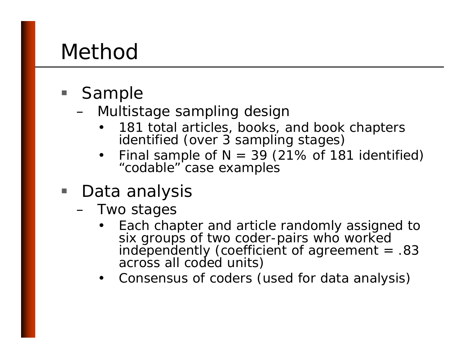#### Method

- **Sample** 
	- – Multistage sampling design
		- •181 total articles, books, and book chapters identified (over 3 sampling stages)
		- •Final sample of  $N = 39$  (21% of 181 identified) "codable" case examples
- Data analysis
	- – Two stages
		- •Each chapter and article randomly assigned to<br>six groups of two coder-pairs who worked independently (coefficient of agreement = .83 across all coded units)
		- •Consensus of coders (used for data analysis)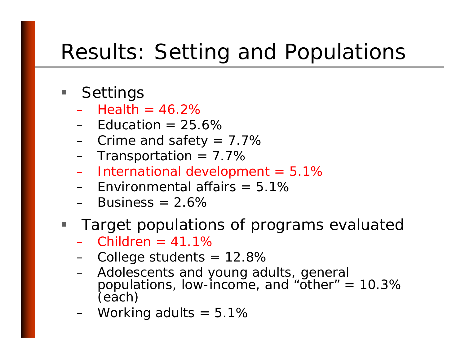### Results: Setting and Populations

- **Settings** 
	- – $-$  Health = 46.2%
	- $-$  Education = 25.6%
	- –Crime and safety =  $7.7\%$
	- – $-$  Transportation = 7.7%  $\,$
	- –International development = 5.1%
	- Environmental affairs = 5.1%
	- $-$  Business = 2.6%  $\,$

#### $\blacksquare$ Target populations of programs evaluated

- Children = 41.1%
- –College students = 12.8%
- – Adolescents and young adults, general populations, low-income, and "other" =  $10.3\%$ <br>(each)
- –Working adults =  $5.1\%$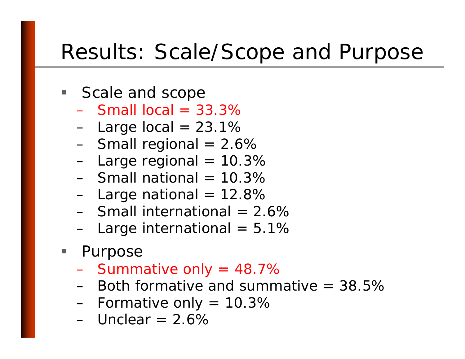#### Results: Scale/Scope and Purpose

- Scale and scope
	- $-$  Small local = 33.3%
	- –Large local = 23.1%
	- –Small regional = 2.6%
	- Large regional = 10.3%
	- $-$  Small national = 10.3%
	- Lar ge national = 12.8%
	- $-$  Small international = 2.6%  $\,$
	- –Large international = 5.1%
- **Purpose** 
	- –Summative only = 48.7%
	- Both formative and summative = 38.5%
	- –Formative only = 10.3%
	- Unclear = 2.6%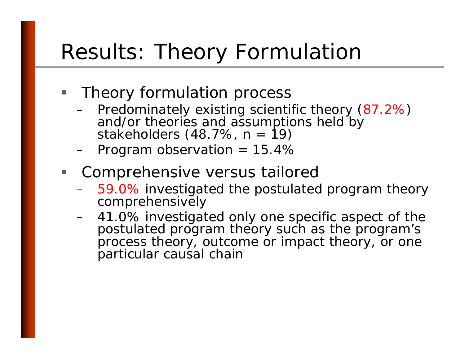### Results: Theory Formulation

- **Theory formulation process** 
	- –Predominately existing scientific theory (87.2%) and/or theories and assumptions held by stakeholders (48.7%, n = 19)
	- –Program observation = 15.4%
- T. Comprehensive versus tailored
	- – 59.0% investigated the postulated program theory comprehensively
	- – 41.0% investigated only one specific aspect of the postulated program theory such as the program's process theory, outcome or impact theory, or one particular causal chain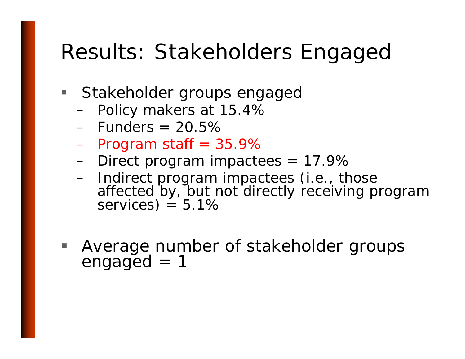#### Results: Stakeholders Engaged

- **Stakeholder groups engaged** 
	- Policy makers at 15.4%
	- Funders = 20.5%
	- –Program staff = 35.9%
	- Direct program impactees = 17.9%
	- – Indirect program impactees (i.e., those affected by, but not directly receiving program  $= 5.1\%$
- Average number of stakeholder groups  $engaged = 1$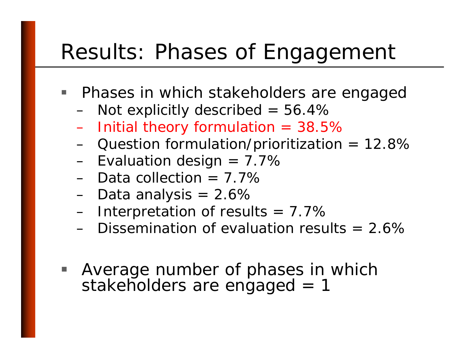#### Results: Phases of Engagement

- **Phases in which stakeholders are engaged** 
	- Not explicitly described  $= 56.4\%$
	- –Initial theory formulation = 38.5%
	- –Question formulation/prioritization = 12.8%
	- Evaluation design = 7.7%
	- Data collection = 7.7%
	- Data anal ysis = 2.6%
	- –Interpretation of results  $= 7.7\%$
	- $-$  Dissemination of evaluation results = 2.6%  $\,$
- Average number of phases in which stakeholders are engaged = 1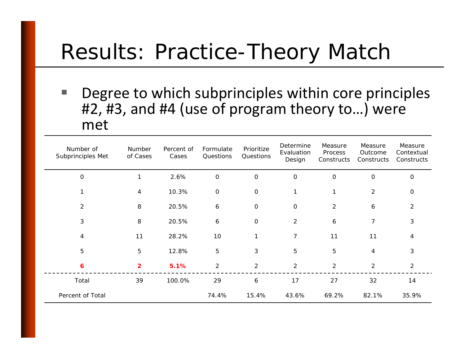#### Results: Practice-Theory Match

**The Second Second**  Degree to which subprinciples within core principles #2, #3, and #4 (use of program theory to...) were met

| Number of<br>Subprinciples Met | Number<br>of Cases | Percent of<br>Cases | Formulate<br>Questions | Prioritize<br>Questions | Determine<br>Evaluation<br>Design | Measure<br>Process<br>Constructs | Measure<br>Outcome<br>Constructs | Measure<br>Contextual<br>Constructs |
|--------------------------------|--------------------|---------------------|------------------------|-------------------------|-----------------------------------|----------------------------------|----------------------------------|-------------------------------------|
| $\mathbf{O}$                   | 1                  | 2.6%                | $\mathbf 0$            | $\mathbf 0$             | $\mathbf 0$                       | $\mathbf 0$                      | $\mathsf{O}$                     | $\mathbf 0$                         |
|                                | $\overline{4}$     | 10.3%               | $\mathbf 0$            | $\mathbf 0$             | 1                                 | $\mathbf{1}$                     | $\overline{2}$                   | $\mathsf O$                         |
| 2                              | 8                  | 20.5%               | 6                      | $\mathbf 0$             | $\mathbf 0$                       | 2                                | 6                                | 2                                   |
| 3                              | 8                  | 20.5%               | 6                      | $\mathbf 0$             | 2                                 | 6                                | $\overline{7}$                   | 3                                   |
| 4                              | 11                 | 28.2%               | 10                     | 1                       | $\overline{7}$                    | 11                               | 11                               | 4                                   |
| 5                              | 5                  | 12.8%               | 5                      | 3                       | 5                                 | 5                                | 4                                | 3                                   |
| 6                              | $\overline{2}$     | 5.1%                | $\overline{2}$         | 2                       | $\overline{2}$                    | 2                                | $\overline{2}$                   | 2                                   |
| Total                          | 39                 | 100.0%              | 29                     | 6                       | 17                                | 27                               | 32                               | 14                                  |
| Percent of Total               |                    |                     | 74.4%                  | 15.4%                   | 43.6%                             | 69.2%                            | 82.1%                            | 35.9%                               |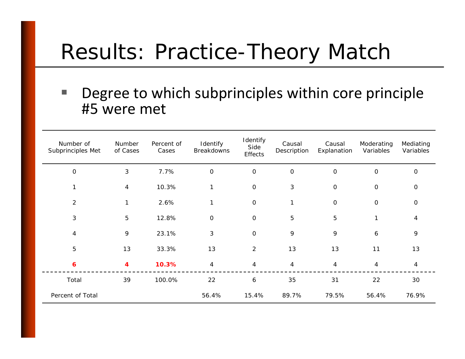#### Results: Practice-Theory Match

#### $\mathbb{R}^n$  Degree to which subprinciples within core principle #5 were met

| Number of<br>Subprinciples Met | Number<br>of Cases | Percent of<br>Cases | Identify<br>Breakdowns | Identify<br>Side<br><b>Effects</b> | Causal<br>Description | Causal<br>Explanation | Moderating<br>Variables | Mediating<br>Variables |
|--------------------------------|--------------------|---------------------|------------------------|------------------------------------|-----------------------|-----------------------|-------------------------|------------------------|
| $\mathsf O$                    | 3                  | 7.7%                | $\mathsf O$            | $\mathsf O$                        | $\mathbf 0$           | $\mathbf 0$           | $\mathsf O$             | $\mathbf 0$            |
| 1                              | $\overline{4}$     | 10.3%               | 1                      | $\mathsf O$                        | 3                     | $\mathsf O$           | $\mathbf 0$             | $\mathbf 0$            |
| $\overline{c}$                 | 1                  | 2.6%                | $\mathbf{1}$           | $\mathbf 0$                        | 1                     | $\mathbf 0$           | $\mathsf O$             | $\mathbf 0$            |
| 3                              | 5                  | 12.8%               | $\mathbf 0$            | $\mathbf 0$                        | 5                     | 5                     | $\mathbf{1}$            | 4                      |
| 4                              | 9                  | 23.1%               | $\mathbf{3}$           | $\mathbf 0$                        | 9                     | 9                     | 6                       | 9                      |
| 5                              | 13                 | 33.3%               | 13                     | 2                                  | 13                    | 13                    | 11                      | 13                     |
| 6                              | 4                  | 10.3%               | $\overline{4}$         | $\overline{4}$                     | $\overline{4}$        | $\overline{4}$        | $\overline{4}$          | $\overline{4}$         |
| Total                          | 39                 | 100.0%              | 22                     | 6                                  | 35                    | 31                    | 22                      | 30                     |
| Percent of Total               |                    |                     | 56.4%                  | 15.4%                              | 89.7%                 | 79.5%                 | 56.4%                   | 76.9%                  |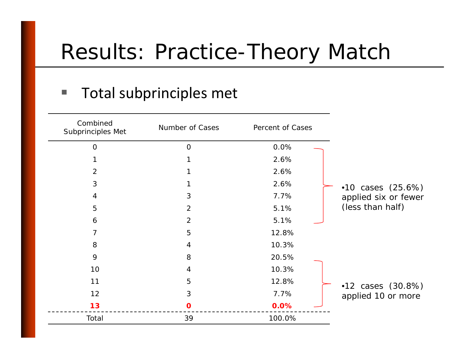### Results: Practice-Theory Match

#### Total subprinciples met

| Combined<br>Subprinciples Met | Number of Cases | Percent of Cases |                      |
|-------------------------------|-----------------|------------------|----------------------|
| $\Omega$                      | $\overline{O}$  | 0.0%             |                      |
|                               |                 | 2.6%             |                      |
| $\overline{2}$                |                 | 2.6%             |                      |
| 3                             |                 | 2.6%             | •10 cases $(25.6%)$  |
| 4                             | 3               | 7.7%             | applied six or fewer |
| 5                             | $\overline{2}$  | 5.1%             | (less than half)     |
| 6                             | $\overline{2}$  | 5.1%             |                      |
| 7                             | 5               | 12.8%            |                      |
| 8                             | 4               | 10.3%            |                      |
| 9                             | 8               | 20.5%            |                      |
| 10                            | 4               | 10.3%            |                      |
| 11                            | 5               | 12.8%            | •12 cases $(30.8\%)$ |
| 12                            | $\mathfrak{S}$  | 7.7%             | applied 10 or more   |
| 13                            | $\mathbf 0$     | 0.0%             |                      |
| Total                         | 39              | 100.0%           |                      |